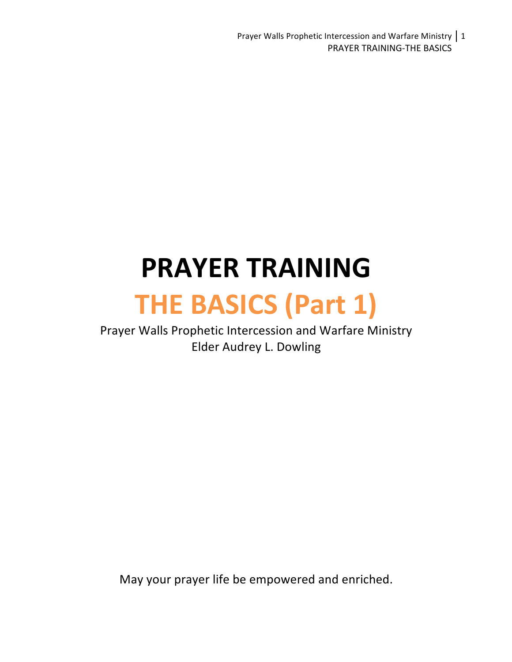Prayer Walls Prophetic Intercession and Warfare Ministry  $\vert 1 \rangle$ PRAYER TRAINING-THE BASICS

# **PRAYER TRAINING**

## **THE BASICS (Part 1)**

Prayer Walls Prophetic Intercession and Warfare Ministry Elder Audrey L. Dowling

May your prayer life be empowered and enriched.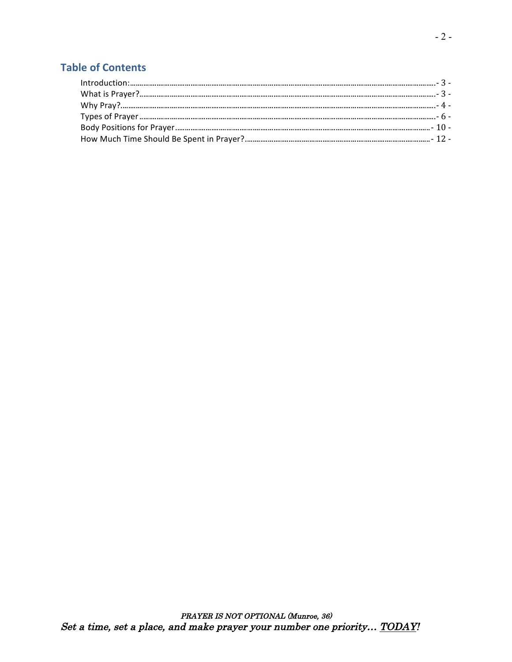### **Table of Contents**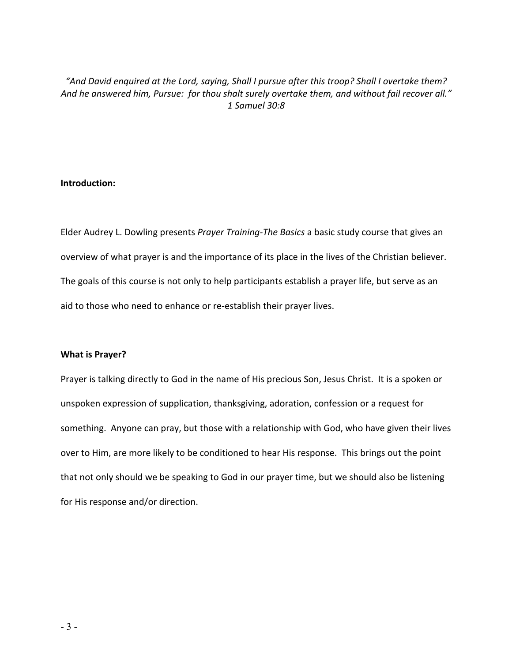#### "And David enquired at the Lord, saying, Shall I pursue after this troop? Shall I overtake them? And he answered him, Pursue: for thou shalt surely overtake them, and without fail recover all." *1 Samuel 30:8*

#### **Introduction:**

Elder Audrey L. Dowling presents Prayer Training-The Basics a basic study course that gives an overview of what prayer is and the importance of its place in the lives of the Christian believer. The goals of this course is not only to help participants establish a prayer life, but serve as an aid to those who need to enhance or re-establish their prayer lives.

#### **What is Prayer?**

Prayer is talking directly to God in the name of His precious Son, Jesus Christ. It is a spoken or unspoken expression of supplication, thanksgiving, adoration, confession or a request for something. Anyone can pray, but those with a relationship with God, who have given their lives over to Him, are more likely to be conditioned to hear His response. This brings out the point that not only should we be speaking to God in our prayer time, but we should also be listening for His response and/or direction.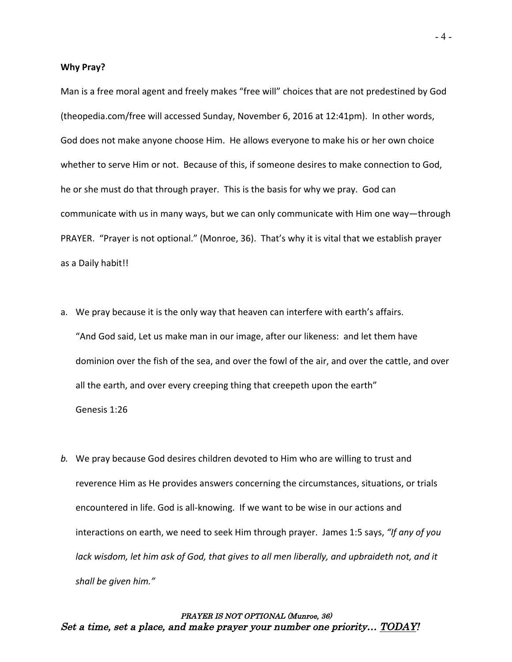#### **Why Pray?**

Man is a free moral agent and freely makes "free will" choices that are not predestined by God (theopedia.com/free will accessed Sunday, November 6, 2016 at 12:41pm). In other words, God does not make anyone choose Him. He allows everyone to make his or her own choice whether to serve Him or not. Because of this, if someone desires to make connection to God, he or she must do that through prayer. This is the basis for why we pray. God can communicate with us in many ways, but we can only communicate with Him one way—through PRAYER. "Prayer is not optional." (Monroe, 36). That's why it is vital that we establish prayer as a Daily habit!!

- a. We pray because it is the only way that heaven can interfere with earth's affairs. "And God said, Let us make man in our image, after our likeness: and let them have dominion over the fish of the sea, and over the fowl of the air, and over the cattle, and over all the earth, and over every creeping thing that creepeth upon the earth" Genesis 1:26
- *b.* We pray because God desires children devoted to Him who are willing to trust and reverence Him as He provides answers concerning the circumstances, situations, or trials encountered in life. God is all-knowing. If we want to be wise in our actions and interactions on earth, we need to seek Him through prayer. James 1:5 says, "If any of you *lack* wisdom, let him ask of God, that gives to all men liberally, and upbraideth not, and it *shall be given him."*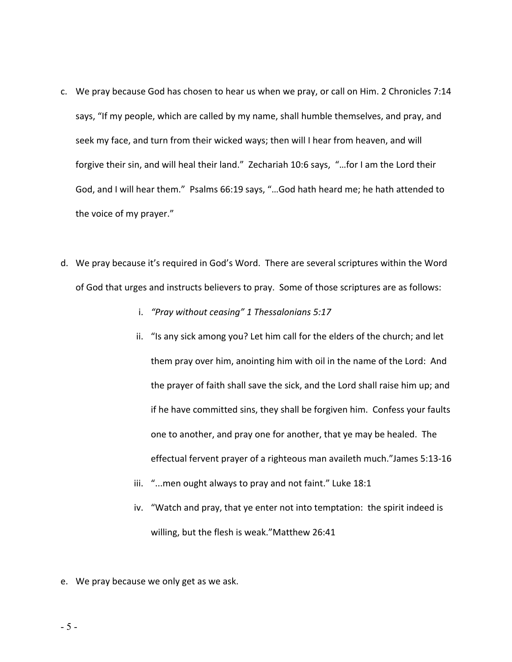- c. We pray because God has chosen to hear us when we pray, or call on Him. 2 Chronicles 7:14 says, "If my people, which are called by my name, shall humble themselves, and pray, and seek my face, and turn from their wicked ways; then will I hear from heaven, and will forgive their sin, and will heal their land." Zechariah 10:6 says, "...for I am the Lord their God, and I will hear them." Psalms 66:19 says, "...God hath heard me; he hath attended to the voice of my prayer."
- d. We pray because it's required in God's Word. There are several scriptures within the Word of God that urges and instructs believers to pray. Some of those scriptures are as follows:
	- i. *"Pray without ceasing"* 1 Thessalonians 5:17
	- ii. "Is any sick among you? Let him call for the elders of the church; and let them pray over him, anointing him with oil in the name of the Lord: And the prayer of faith shall save the sick, and the Lord shall raise him up; and if he have committed sins, they shall be forgiven him. Confess your faults one to another, and pray one for another, that ye may be healed. The effectual fervent prayer of a righteous man availeth much."James 5:13-16
	- iii. "...men ought always to pray and not faint." Luke 18:1
	- iv. "Watch and pray, that ye enter not into temptation: the spirit indeed is willing, but the flesh is weak."Matthew 26:41
- e. We pray because we only get as we ask.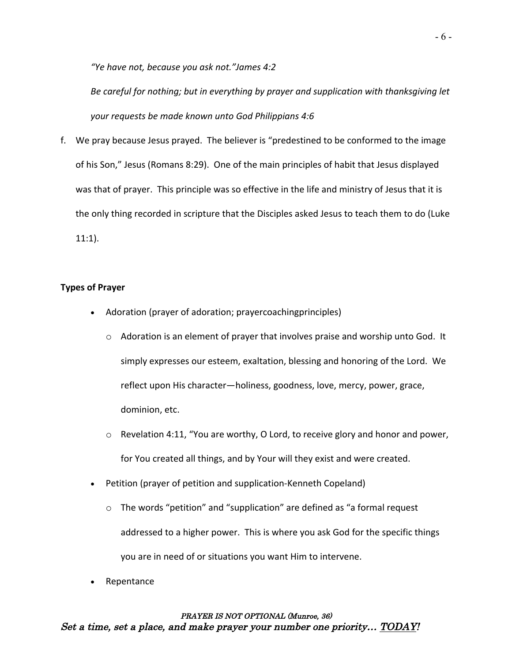*"Ye have not, because you ask not."James 4:2*

Be careful for nothing; but in everything by prayer and supplication with thanksgiving let your requests be made known unto God Philippians 4:6

f. We pray because Jesus prayed. The believer is "predestined to be conformed to the image of his Son," Jesus (Romans 8:29). One of the main principles of habit that Jesus displayed was that of prayer. This principle was so effective in the life and ministry of Jesus that it is the only thing recorded in scripture that the Disciples asked Jesus to teach them to do (Luke 11:1).

#### **Types of Prayer**

- Adoration (prayer of adoration; prayercoachingprinciples)
	- $\circ$  Adoration is an element of prayer that involves praise and worship unto God. It simply expresses our esteem, exaltation, blessing and honoring of the Lord. We reflect upon His character-holiness, goodness, love, mercy, power, grace, dominion, etc.
	- $\circ$  Revelation 4:11, "You are worthy, O Lord, to receive glory and honor and power, for You created all things, and by Your will they exist and were created.
- Petition (prayer of petition and supplication-Kenneth Copeland)
	- $\circ$  The words "petition" and "supplication" are defined as "a formal request addressed to a higher power. This is where you ask God for the specific things you are in need of or situations you want Him to intervene.
- **Repentance**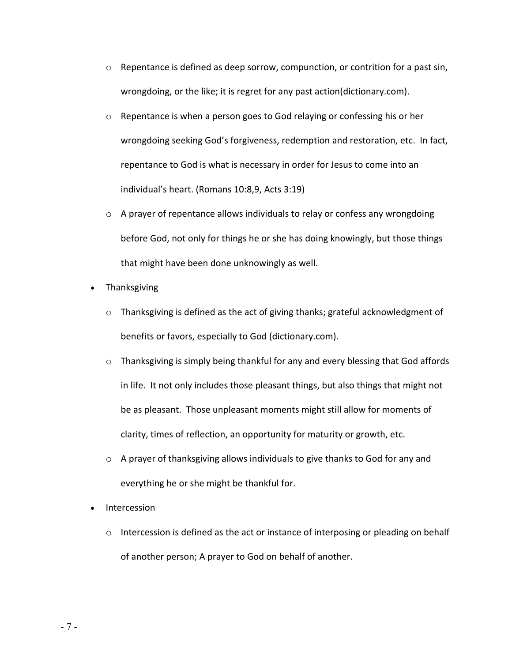- $\circ$  Repentance is defined as deep sorrow, compunction, or contrition for a past sin, wrongdoing, or the like; it is regret for any past action(dictionary.com).
- $\circ$  Repentance is when a person goes to God relaying or confessing his or her wrongdoing seeking God's forgiveness, redemption and restoration, etc. In fact, repentance to God is what is necessary in order for Jesus to come into an individual's heart. (Romans 10:8,9, Acts 3:19)
- $\circ$  A prayer of repentance allows individuals to relay or confess any wrongdoing before God, not only for things he or she has doing knowingly, but those things that might have been done unknowingly as well.
- Thanksgiving
	- $\circ$  Thanksgiving is defined as the act of giving thanks; grateful acknowledgment of benefits or favors, especially to God (dictionary.com).
	- $\circ$  Thanksgiving is simply being thankful for any and every blessing that God affords in life. It not only includes those pleasant things, but also things that might not be as pleasant. Those unpleasant moments might still allow for moments of clarity, times of reflection, an opportunity for maturity or growth, etc.
	- $\circ$  A prayer of thanksgiving allows individuals to give thanks to God for any and everything he or she might be thankful for.
- Intercession
	- $\circ$  Intercession is defined as the act or instance of interposing or pleading on behalf of another person; A prayer to God on behalf of another.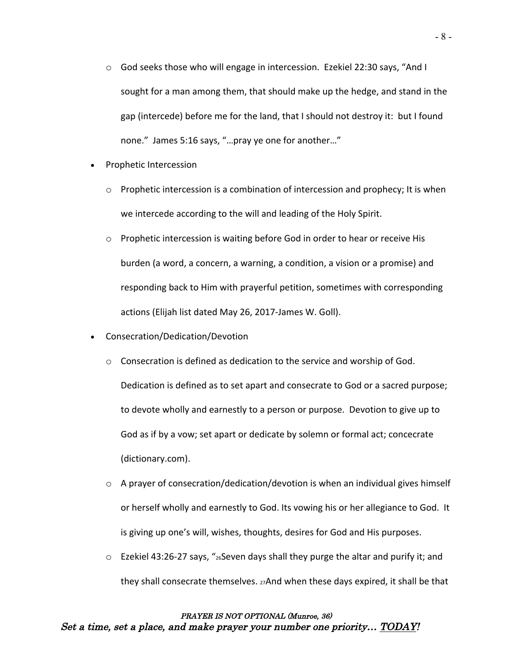- $\circ$  God seeks those who will engage in intercession. Ezekiel 22:30 says, "And I sought for a man among them, that should make up the hedge, and stand in the gap (intercede) before me for the land, that I should not destroy it: but I found none." James 5:16 says, "...pray ye one for another..."
- Prophetic Intercession
	- $\circ$  Prophetic intercession is a combination of intercession and prophecy; It is when we intercede according to the will and leading of the Holy Spirit.
	- $\circ$  Prophetic intercession is waiting before God in order to hear or receive His burden (a word, a concern, a warning, a condition, a vision or a promise) and responding back to Him with prayerful petition, sometimes with corresponding actions (Elijah list dated May 26, 2017-James W. Goll).
- Consecration/Dedication/Devotion
	- $\circ$  Consecration is defined as dedication to the service and worship of God. Dedication is defined as to set apart and consecrate to God or a sacred purpose; to devote wholly and earnestly to a person or purpose. Devotion to give up to God as if by a vow; set apart or dedicate by solemn or formal act; concecrate (dictionary.com).
	- $\circ$  A prayer of consecration/dedication/devotion is when an individual gives himself or herself wholly and earnestly to God. Its vowing his or her allegiance to God. It is giving up one's will, wishes, thoughts, desires for God and His purposes.
	- $\circ$  Ezekiel 43:26-27 says, "<sub>26</sub>Seven days shall they purge the altar and purify it; and they shall consecrate themselves.  $27$ And when these days expired, it shall be that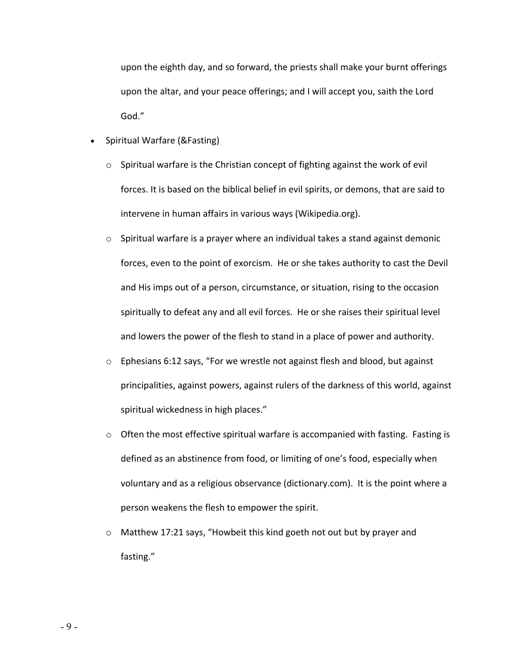upon the eighth day, and so forward, the priests shall make your burnt offerings upon the altar, and your peace offerings; and I will accept you, saith the Lord God."

- Spiritual Warfare (&Fasting)
	- $\circ$  Spiritual warfare is the Christian concept of fighting against the work of evil forces. It is based on the biblical belief in evil spirits, or demons, that are said to intervene in human affairs in various ways (Wikipedia.org).
	- $\circ$  Spiritual warfare is a prayer where an individual takes a stand against demonic forces, even to the point of exorcism. He or she takes authority to cast the Devil and His imps out of a person, circumstance, or situation, rising to the occasion spiritually to defeat any and all evil forces. He or she raises their spiritual level and lowers the power of the flesh to stand in a place of power and authority.
	- $\circ$  Ephesians 6:12 says, "For we wrestle not against flesh and blood, but against principalities, against powers, against rulers of the darkness of this world, against spiritual wickedness in high places."
	- $\circ$  Often the most effective spiritual warfare is accompanied with fasting. Fasting is defined as an abstinence from food, or limiting of one's food, especially when voluntary and as a religious observance (dictionary.com). It is the point where a person weakens the flesh to empower the spirit.
	- $\circ$  Matthew 17:21 says, "Howbeit this kind goeth not out but by prayer and fasting."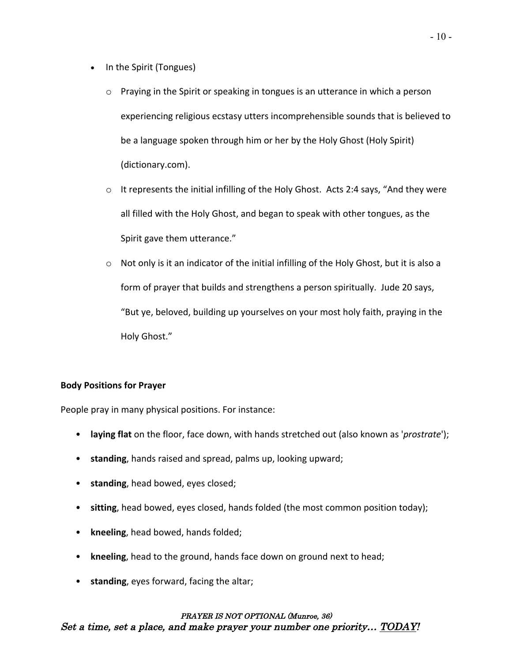- In the Spirit (Tongues)
	- $\circ$  Praying in the Spirit or speaking in tongues is an utterance in which a person experiencing religious ecstasy utters incomprehensible sounds that is believed to be a language spoken through him or her by the Holy Ghost (Holy Spirit) (dictionary.com).
	- $\circ$  It represents the initial infilling of the Holy Ghost. Acts 2:4 says, "And they were all filled with the Holy Ghost, and began to speak with other tongues, as the Spirit gave them utterance."
	- $\circ$  Not only is it an indicator of the initial infilling of the Holy Ghost, but it is also a form of prayer that builds and strengthens a person spiritually. Jude 20 says, "But ye, beloved, building up yourselves on your most holy faith, praying in the Holy Ghost."

#### **Body Positions for Prayer**

People pray in many physical positions. For instance:

- **laying flat** on the floor, face down, with hands stretched out (also known as '*prostrate*');
- standing, hands raised and spread, palms up, looking upward;
- standing, head bowed, eyes closed;
- sitting, head bowed, eyes closed, hands folded (the most common position today);
- kneeling, head bowed, hands folded;
- kneeling, head to the ground, hands face down on ground next to head;
- standing, eyes forward, facing the altar;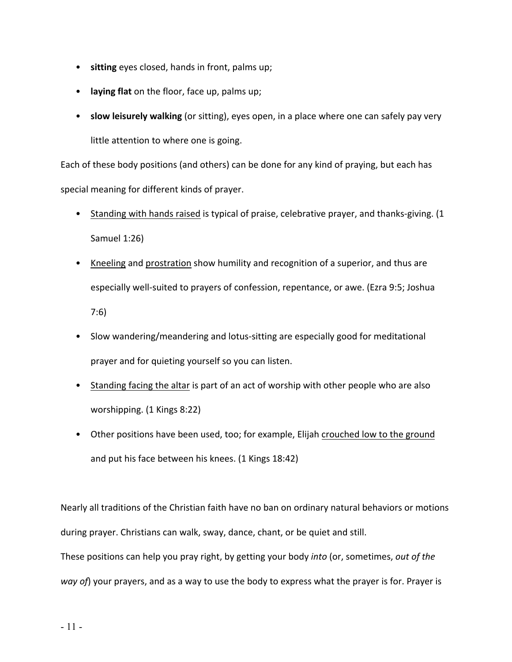- sitting eyes closed, hands in front, palms up;
- laying flat on the floor, face up, palms up;
- slow leisurely walking (or sitting), eyes open, in a place where one can safely pay very little attention to where one is going.

Each of these body positions (and others) can be done for any kind of praying, but each has special meaning for different kinds of prayer.

- Standing with hands raised is typical of praise, celebrative prayer, and thanks-giving. (1 Samuel 1:26)
- Kneeling and prostration show humility and recognition of a superior, and thus are especially well-suited to prayers of confession, repentance, or awe. (Ezra 9:5; Joshua 7:6)
- Slow wandering/meandering and lotus-sitting are especially good for meditational prayer and for quieting yourself so you can listen.
- Standing facing the altar is part of an act of worship with other people who are also worshipping. (1 Kings 8:22)
- Other positions have been used, too; for example, Elijah crouched low to the ground and put his face between his knees. (1 Kings 18:42)

Nearly all traditions of the Christian faith have no ban on ordinary natural behaviors or motions during prayer. Christians can walk, sway, dance, chant, or be quiet and still.

These positions can help you pray right, by getting your body *into* (or, sometimes, *out of the way* of) your prayers, and as a way to use the body to express what the prayer is for. Prayer is